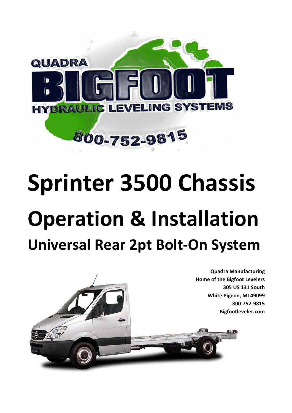

# **Sprinter 3500 Chassis Operation & Installation Universal Rear 2pt Bolt-On System**

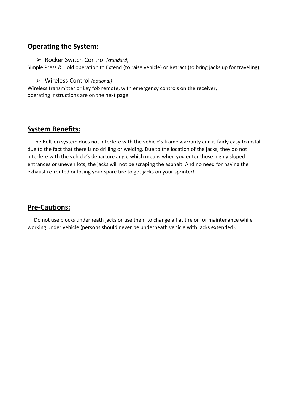## **Operating the System:**

#### Rocker Switch Control *(standard)*

Simple Press & Hold operation to Extend (to raise vehicle) or Retract (to bring jacks up for traveling).

#### Wireless Control *(optional)*

Wireless transmitter or key fob remote, with emergency controls on the receiver, operating instructions are on the next page.

# **System Benefits:**

 The Bolt-on system does not interfere with the vehicle's frame warranty and is fairly easy to install due to the fact that there is no drilling or welding. Due to the location of the jacks, they do not interfere with the vehicle's departure angle which means when you enter those highly sloped entrances or uneven lots, the jacks will not be scraping the asphalt. And no need for having the exhaust re-routed or losing your spare tire to get jacks on your sprinter!

## **Pre-Cautions:**

 Do not use blocks underneath jacks or use them to change a flat tire or for maintenance while working under vehicle (persons should never be underneath vehicle with jacks extended).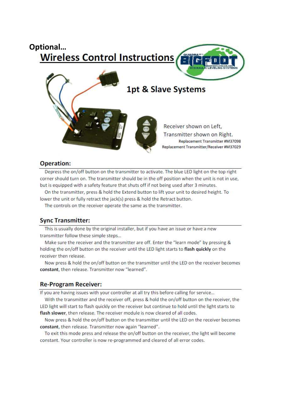# **Optional…Wireless Control Instructions 1pt & Slave Systems** Receiver shown on Left. Transmitter shown on Right. Replacement Transmitter #M37098 Replacement Transmitter/Receiver #M37029

#### **Operation:**

Depress the on/off button on the transmitter to activate. The blue LED light on the top right corner should turn on. The transmitter should be in the off position when the unit is not in use, but is equipped with a safety feature that shuts off if not being used after 3 minutes.

On the transmitter, press & hold the Extend button to lift your unit to desired height. To lower the unit or fully retract the jack(s) press & hold the Retract button.

The controls on the receiver operate the same as the transmitter.

#### **Sync Transmitter:**

This is usually done by the original installer, but if you have an issue or have a new transmitter follow these simple steps...

Make sure the receiver and the transmitter are off. Enter the "learn mode" by pressing & holding the on/off button on the receiver until the LED light starts to flash quickly on the receiver then release.

Now press & hold the on/off button on the transmitter until the LED on the receiver becomes constant, then release. Transmitter now "learned".

#### **Re-Program Receiver:**

If you are having issues with your controller at all try this before calling for service...

With the transmitter and the receiver off, press & hold the on/off button on the receiver, the LED light will start to flash quickly on the receiver but continue to hold until the light starts to flash slower, then release. The receiver module is now cleared of all codes.

Now press & hold the on/off button on the transmitter until the LED on the receiver becomes constant, then release. Transmitter now again "learned".

To exit this mode press and release the on/off button on the receiver, the light will become constant. Your controller is now re-programmed and cleared of all error codes.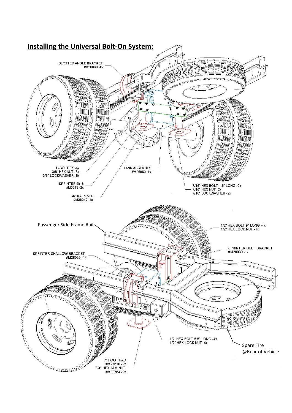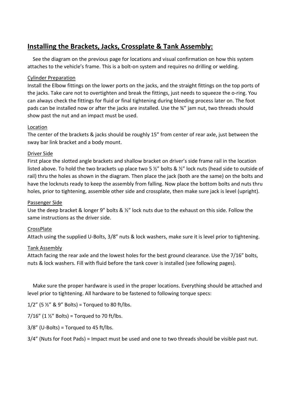# **Installing the Brackets, Jacks, Crossplate & Tank Assembly:**

 See the diagram on the previous page for locations and visual confirmation on how this system attaches to the vehicle's frame. This is a bolt-on system and requires no drilling or welding.

#### Cylinder Preparation

Install the Elbow fittings on the lower ports on the jacks, and the straight fittings on the top ports of the jacks. Take care not to overtighten and break the fittings, just needs to squeeze the o-ring. You can always check the fittings for fluid or final tightening during bleeding process later on. The foot pads can be installed now or after the jacks are installed. Use the ¾" jam nut, two threads should show past the nut and an impact must be used.

#### Location

The center of the brackets & jacks should be roughly 15" from center of rear axle, just between the sway bar link bracket and a body mount.

#### Driver Side

First place the slotted angle brackets and shallow bracket on driver's side frame rail in the location listed above. To hold the two brackets up place two 5  $\frac{1}{2}$ " bolts &  $\frac{1}{2}$ " lock nuts (head side to outside of rail) thru the holes as shown in the diagram. Then place the jack (both are the same) on the bolts and have the locknuts ready to keep the assembly from falling. Now place the bottom bolts and nuts thru holes, prior to tightening, assemble other side and crossplate, then make sure jack is level (upright).

#### Passenger Side

Use the deep bracket & longer 9" bolts & ½" lock nuts due to the exhaust on this side. Follow the same instructions as the driver side.

#### CrossPlate

Attach using the supplied U-Bolts, 3/8" nuts & lock washers, make sure it is level prior to tightening.

#### Tank Assembly

Attach facing the rear axle and the lowest holes for the best ground clearance. Use the 7/16" bolts, nuts & lock washers. Fill with fluid before the tank cover is installed (see following pages).

 Make sure the proper hardware is used in the proper locations. Everything should be attached and level prior to tightening. All hardware to be fastened to following torque specs:

1/2" (5  $\frac{1}{2}$ " & 9" Bolts) = Torqued to 80 ft/lbs.

7/16" (1  $\frac{1}{2}$ " Bolts) = Torqued to 70 ft/lbs.

 $3/8''$  (U-Bolts) = Torqued to 45 ft/lbs.

3/4" (Nuts for Foot Pads) = Impact must be used and one to two threads should be visible past nut.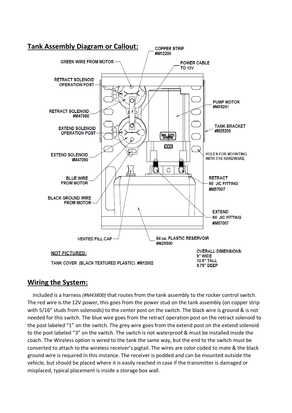

#### **Wiring the System:**

 Included is a harness *(#M43800)* that routes from the tank assembly to the rocker control switch. The red wire is the 12V power, this goes from the power stud on the tank assembly (on copper strip with 5/16" studs from solenoids) to the center post on the switch. The black wire is ground & is not needed for this switch. The blue wire goes from the retract operation post on the retract solenoid to the post labeled "1" on the switch. The grey wire goes from the extend post on the extend solenoid to the post labeled "3" on the switch. The switch is not waterproof & must be installed inside the coach. The Wireless option is wired to the tank the same way, but the end to the switch must be converted to attach to the wireless receiver's pigtail. The wires are color coded to mate & the black ground wire is required in this instance. The receiver is podded and can be mounted outside the vehicle, but should be placed where it is easily reached in case if the transmitter is damaged or misplaced, typical placement is inside a storage box wall.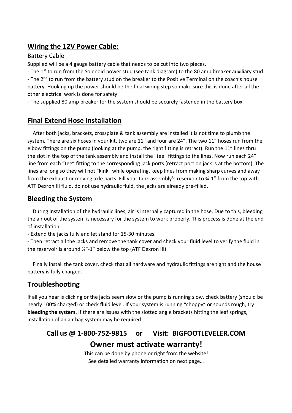# **Wiring the 12V Power Cable:**

#### Battery Cable

Supplied will be a 4 gauge battery cable that needs to be cut into two pieces.

- The 1<sup>st</sup> to run from the Solenoid power stud (see tank diagram) to the 80 amp breaker auxiliary stud.

- The 2<sup>nd</sup> to run from the battery stud on the breaker to the Positive Terminal on the coach's house battery. Hooking up the power should be the final wiring step so make sure this is done after all the other electrical work is done for safety.

- The supplied 80 amp breaker for the system should be securely fastened in the battery box.

# **Final Extend Hose Installation**

 After both jacks, brackets, crossplate & tank assembly are installed it is not time to plumb the system. There are six hoses in your kit, two are 11" and four are 24". The two 11" hoses run from the elbow fittings on the pump (looking at the pump, the right fitting is retract). Run the 11" lines thru the slot in the top of the tank assembly and install the "tee" fittings to the lines. Now run each 24" line from each "tee" fitting to the corresponding jack ports (retract port on jack is at the bottom). The lines are long so they will not "kink" while operating, keep lines from making sharp curves and away from the exhaust or moving axle parts. Fill your tank assembly's reservoir to ¾-1" from the top with ATF Dexron III fluid, do not use hydraulic fluid, the jacks are already pre-filled.

## **Bleeding the System**

 During installation of the hydraulic lines, air is internally captured in the hose. Due to this, bleeding the air out of the system is necessary for the system to work properly. This process is done at the end of installation.

- Extend the jacks fully and let stand for 15-30 minutes.

- Then retract all the jacks and remove the tank cover and check your fluid level to verify the fluid in the reservoir is around ¾"-1" below the top (ATF Dexron III).

 Finally install the tank cover, check that all hardware and hydraulic fittings are tight and the house battery is fully charged.

# **Troubleshooting**

If all you hear is clicking or the jacks seem slow or the pump is running slow, check battery (should be nearly 100% charged) or check fluid level. If your system is running "choppy" or sounds rough, try **bleeding the system.** If there are issues with the slotted angle brackets hitting the leaf springs, installation of an air bag system may be required.

# **Call us @ 1-800-752-9815 or Visit: BIGFOOTLEVELER.COM Owner must activate warranty!**

This can be done by phone or right from the website! See detailed warranty information on next page…